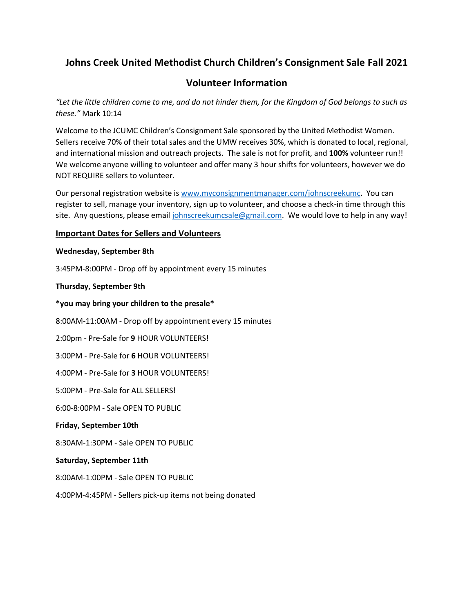# **Johns Creek United Methodist Church Children's Consignment Sale Fall 2021**

# **Volunteer Information**

*"Let the little children come to me, and do not hinder them, for the Kingdom of God belongs to such as these."* Mark 10:14

Welcome to the JCUMC Children's Consignment Sale sponsored by the United Methodist Women. Sellers receive 70% of their total sales and the UMW receives 30%, which is donated to local, regional, and international mission and outreach projects. The sale is not for profit, and **100%** volunteer run!! We welcome anyone willing to volunteer and offer many 3 hour shifts for volunteers, however we do NOT REQUIRE sellers to volunteer.

Our personal registration website is [www.myconsignmentmanager.com/johnscreekumc.](about:blank) You can register to sell, manage your inventory, sign up to volunteer, and choose a check-in time through this site. Any questions, please email [johnscreekumcsale@gmail.com.](about:blank) We would love to help in any way!

# **Important Dates for Sellers and Volunteers**

### **Wednesday, September 8th**

3:45PM-8:00PM - Drop off by appointment every 15 minutes

**Thursday, September 9th**

**\*you may bring your children to the presale\***

8:00AM-11:00AM - Drop off by appointment every 15 minutes

2:00pm - Pre-Sale for **9** HOUR VOLUNTEERS!

3:00PM - Pre-Sale for **6** HOUR VOLUNTEERS!

4:00PM - Pre-Sale for **3** HOUR VOLUNTEERS!

5:00PM - Pre-Sale for ALL SELLERS!

6:00-8:00PM - Sale OPEN TO PUBLIC

### **Friday, September 10th**

8:30AM-1:30PM - Sale OPEN TO PUBLIC

### **Saturday, September 11th**

8:00AM-1:00PM - Sale OPEN TO PUBLIC

4:00PM-4:45PM - Sellers pick-up items not being donated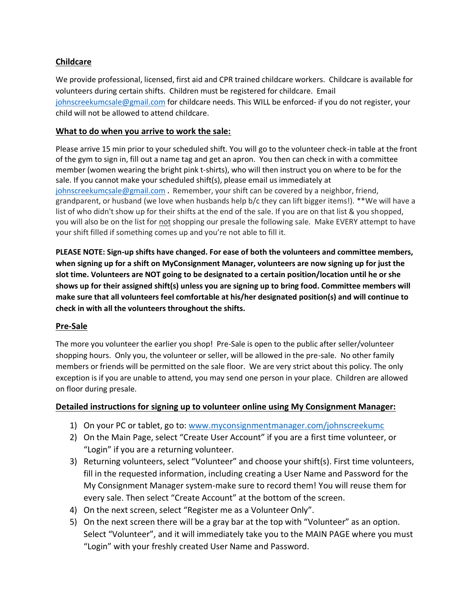# **Childcare**

We provide professional, licensed, first aid and CPR trained childcare workers. Childcare is available for volunteers during certain shifts. Children must be registered for childcare. Email [johnscreekumcsale@gmail.com](about:blank) for childcare needs. This WILL be enforced- if you do not register, your child will not be allowed to attend childcare.

## **What to do when you arrive to work the sale:**

Please arrive 15 min prior to your scheduled shift. You will go to the volunteer check-in table at the front of the gym to sign in, fill out a name tag and get an apron. You then can check in with a committee member (women wearing the bright pink t-shirts), who will then instruct you on where to be for the sale. If you cannot make your scheduled shift(s), please email us immediately at [johnscreekumcsale@gmail.com](about:blank) **.** Remember, your shift can be covered by a neighbor, friend, grandparent, or husband (we love when husbands help b/c they can lift bigger items!). \*\*We will have a list of who didn't show up for their shifts at the end of the sale. If you are on that list & you shopped, you will also be on the list for not shopping our presale the following sale. Make EVERY attempt to have your shift filled if something comes up and you're not able to fill it.

**PLEASE NOTE: Sign-up shifts have changed. For ease of both the volunteers and committee members, when signing up for a shift on MyConsignment Manager, volunteers are now signing up for just the slot time. Volunteers are NOT going to be designated to a certain position/location until he or she shows up for their assigned shift(s) unless you are signing up to bring food. Committee members will make sure that all volunteers feel comfortable at his/her designated position(s) and will continue to check in with all the volunteers throughout the shifts.** 

# **Pre-Sale**

The more you volunteer the earlier you shop! Pre-Sale is open to the public after seller/volunteer shopping hours. Only you, the volunteer or seller, will be allowed in the pre-sale. No other family members or friends will be permitted on the sale floor. We are very strict about this policy. The only exception is if you are unable to attend, you may send one person in your place. Children are allowed on floor during presale.

# **Detailed instructions for signing up to volunteer online using My Consignment Manager:**

- 1) On your PC or tablet, go to: [www.myconsignmentmanager.com/johnscreekumc](about:blank)
- 2) On the Main Page, select "Create User Account" if you are a first time volunteer, or "Login" if you are a returning volunteer.
- 3) Returning volunteers, select "Volunteer" and choose your shift(s). First time volunteers, fill in the requested information, including creating a User Name and Password for the My Consignment Manager system-make sure to record them! You will reuse them for every sale. Then select "Create Account" at the bottom of the screen.
- 4) On the next screen, select "Register me as a Volunteer Only".
- 5) On the next screen there will be a gray bar at the top with "Volunteer" as an option. Select "Volunteer", and it will immediately take you to the MAIN PAGE where you must "Login" with your freshly created User Name and Password.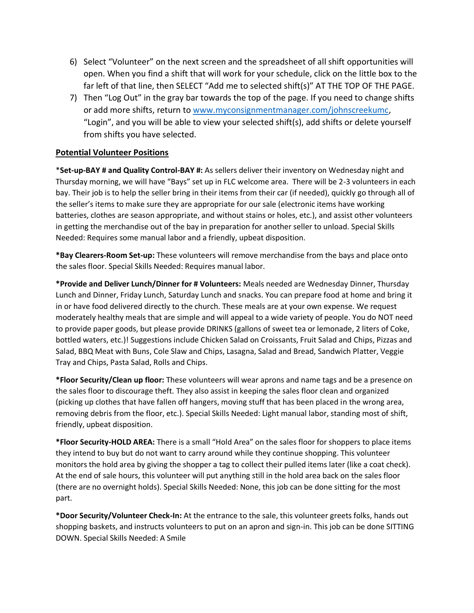- 6) Select "Volunteer" on the next screen and the spreadsheet of all shift opportunities will open. When you find a shift that will work for your schedule, click on the little box to the far left of that line, then SELECT "Add me to selected shift(s)" AT THE TOP OF THE PAGE.
- 7) Then "Log Out" in the gray bar towards the top of the page. If you need to change shifts or add more shifts, return to [www.myconsignmentmanager.com/johnscreekumc,](about:blank) "Login", and you will be able to view your selected shift(s), add shifts or delete yourself from shifts you have selected.

# **Potential Volunteer Positions**

\***Set-up-BAY # and Quality Control-BAY #:** As sellers deliver their inventory on Wednesday night and Thursday morning, we will have "Bays" set up in FLC welcome area. There will be 2-3 volunteers in each bay. Their job is to help the seller bring in their items from their car (if needed), quickly go through all of the seller's items to make sure they are appropriate for our sale (electronic items have working batteries, clothes are season appropriate, and without stains or holes, etc.), and assist other volunteers in getting the merchandise out of the bay in preparation for another seller to unload. Special Skills Needed: Requires some manual labor and a friendly, upbeat disposition.

**\*Bay Clearers-Room Set-up:** These volunteers will remove merchandise from the bays and place onto the sales floor. Special Skills Needed: Requires manual labor.

**\*Provide and Deliver Lunch/Dinner for # Volunteers:** Meals needed are Wednesday Dinner, Thursday Lunch and Dinner, Friday Lunch, Saturday Lunch and snacks. You can prepare food at home and bring it in or have food delivered directly to the church. These meals are at your own expense. We request moderately healthy meals that are simple and will appeal to a wide variety of people. You do NOT need to provide paper goods, but please provide DRINKS (gallons of sweet tea or lemonade, 2 liters of Coke, bottled waters, etc.)! Suggestions include Chicken Salad on Croissants, Fruit Salad and Chips, Pizzas and Salad, BBQ Meat with Buns, Cole Slaw and Chips, Lasagna, Salad and Bread, Sandwich Platter, Veggie Tray and Chips, Pasta Salad, Rolls and Chips.

**\*Floor Security/Clean up floor:** These volunteers will wear aprons and name tags and be a presence on the sales floor to discourage theft. They also assist in keeping the sales floor clean and organized (picking up clothes that have fallen off hangers, moving stuff that has been placed in the wrong area, removing debris from the floor, etc.). Special Skills Needed: Light manual labor, standing most of shift, friendly, upbeat disposition.

**\*Floor Security-HOLD AREA:** There is a small "Hold Area" on the sales floor for shoppers to place items they intend to buy but do not want to carry around while they continue shopping. This volunteer monitors the hold area by giving the shopper a tag to collect their pulled items later (like a coat check). At the end of sale hours, this volunteer will put anything still in the hold area back on the sales floor (there are no overnight holds). Special Skills Needed: None, this job can be done sitting for the most part.

**\*Door Security/Volunteer Check-In:** At the entrance to the sale, this volunteer greets folks, hands out shopping baskets, and instructs volunteers to put on an apron and sign-in. This job can be done SITTING DOWN. Special Skills Needed: A Smile